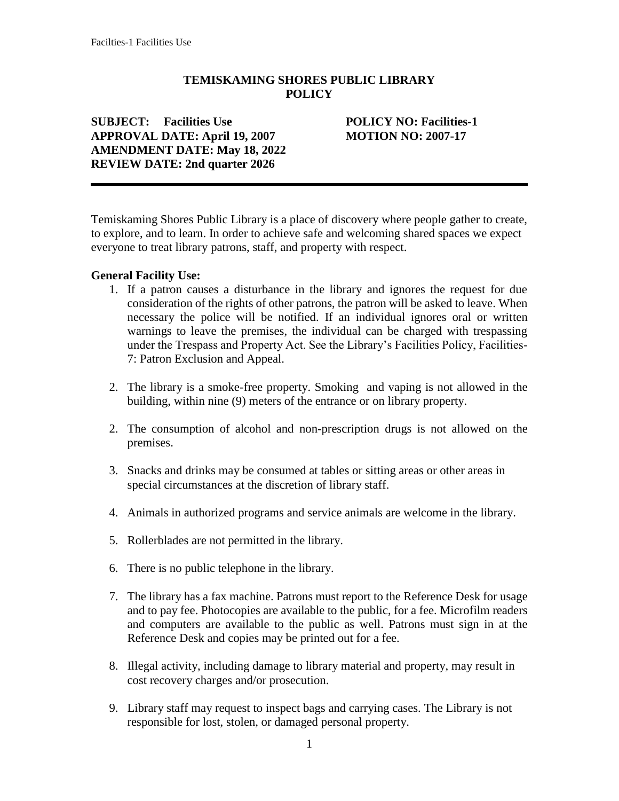## **TEMISKAMING SHORES PUBLIC LIBRARY POLICY**

**SUBJECT: Facilities Use POLICY NO: Facilities-1 APPROVAL DATE: April 19, 2007 MOTION NO: 2007-17 AMENDMENT DATE: May 18, 2022 REVIEW DATE: 2nd quarter 2026**

Temiskaming Shores Public Library is a place of discovery where people gather to create, to explore, and to learn. In order to achieve safe and welcoming shared spaces we expect everyone to treat library patrons, staff, and property with respect.

## **General Facility Use:**

- 1. If a patron causes a disturbance in the library and ignores the request for due consideration of the rights of other patrons, the patron will be asked to leave. When necessary the police will be notified. If an individual ignores oral or written warnings to leave the premises, the individual can be charged with trespassing under the Trespass and Property Act. See the Library's Facilities Policy, Facilities-7: Patron Exclusion and Appeal.
- 2. The library is a smoke-free property. Smoking and vaping is not allowed in the building, within nine (9) meters of the entrance or on library property.
- 2. The consumption of alcohol and non-prescription drugs is not allowed on the premises.
- 3. Snacks and drinks may be consumed at tables or sitting areas or other areas in special circumstances at the discretion of library staff.
- 4. Animals in authorized programs and service animals are welcome in the library.
- 5. Rollerblades are not permitted in the library.
- 6. There is no public telephone in the library.
- 7. The library has a fax machine. Patrons must report to the Reference Desk for usage and to pay fee. Photocopies are available to the public, for a fee. Microfilm readers and computers are available to the public as well. Patrons must sign in at the Reference Desk and copies may be printed out for a fee.
- 8. Illegal activity, including damage to library material and property, may result in cost recovery charges and/or prosecution.
- 9. Library staff may request to inspect bags and carrying cases. The Library is not responsible for lost, stolen, or damaged personal property.